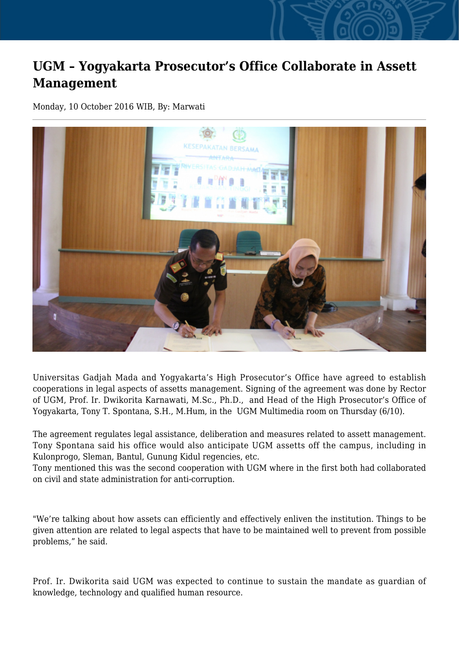## **UGM – Yogyakarta Prosecutor's Office Collaborate in Assett Management**

Monday, 10 October 2016 WIB, By: Marwati



Universitas Gadjah Mada and Yogyakarta's High Prosecutor's Office have agreed to establish cooperations in legal aspects of assetts management. Signing of the agreement was done by Rector of UGM, Prof. Ir. Dwikorita Karnawati, M.Sc., Ph.D., and Head of the High Prosecutor's Office of Yogyakarta, Tony T. Spontana, S.H., M.Hum, in the UGM Multimedia room on Thursday (6/10).

The agreement regulates legal assistance, deliberation and measures related to assett management. Tony Spontana said his office would also anticipate UGM assetts off the campus, including in Kulonprogo, Sleman, Bantul, Gunung Kidul regencies, etc.

Tony mentioned this was the second cooperation with UGM where in the first both had collaborated on civil and state administration for anti-corruption.

"We're talking about how assets can efficiently and effectively enliven the institution. Things to be given attention are related to legal aspects that have to be maintained well to prevent from possible problems," he said.

Prof. Ir. Dwikorita said UGM was expected to continue to sustain the mandate as guardian of knowledge, technology and qualified human resource.